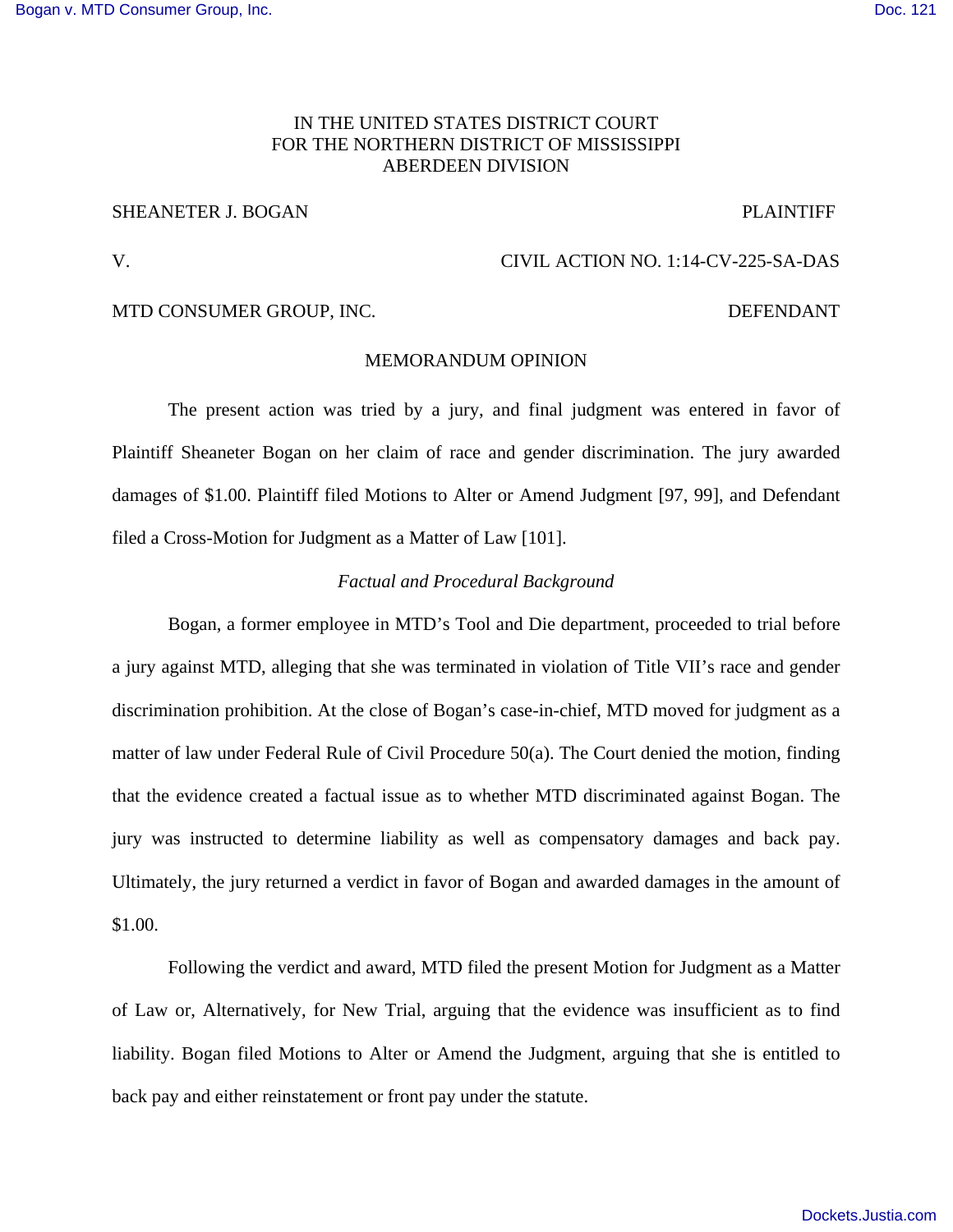# IN THE UNITED STATES DISTRICT COURT FOR THE NORTHERN DISTRICT OF MISSISSIPPI ABERDEEN DIVISION

## SHEANETER J. BOGAN PLAINTIFF

## V. CIVIL ACTION NO. 1:14-CV-225-SA-DAS

# MTD CONSUMER GROUP, INC. DEFENDANT

## MEMORANDUM OPINION

 The present action was tried by a jury, and final judgment was entered in favor of Plaintiff Sheaneter Bogan on her claim of race and gender discrimination. The jury awarded damages of \$1.00. Plaintiff filed Motions to Alter or Amend Judgment [97, 99], and Defendant filed a Cross-Motion for Judgment as a Matter of Law [101].

## *Factual and Procedural Background*

Bogan, a former employee in MTD's Tool and Die department, proceeded to trial before a jury against MTD, alleging that she was terminated in violation of Title VII's race and gender discrimination prohibition. At the close of Bogan's case-in-chief, MTD moved for judgment as a matter of law under Federal Rule of Civil Procedure 50(a). The Court denied the motion, finding that the evidence created a factual issue as to whether MTD discriminated against Bogan. The jury was instructed to determine liability as well as compensatory damages and back pay. Ultimately, the jury returned a verdict in favor of Bogan and awarded damages in the amount of \$1.00.

Following the verdict and award, MTD filed the present Motion for Judgment as a Matter of Law or, Alternatively, for New Trial, arguing that the evidence was insufficient as to find liability. Bogan filed Motions to Alter or Amend the Judgment, arguing that she is entitled to back pay and either reinstatement or front pay under the statute.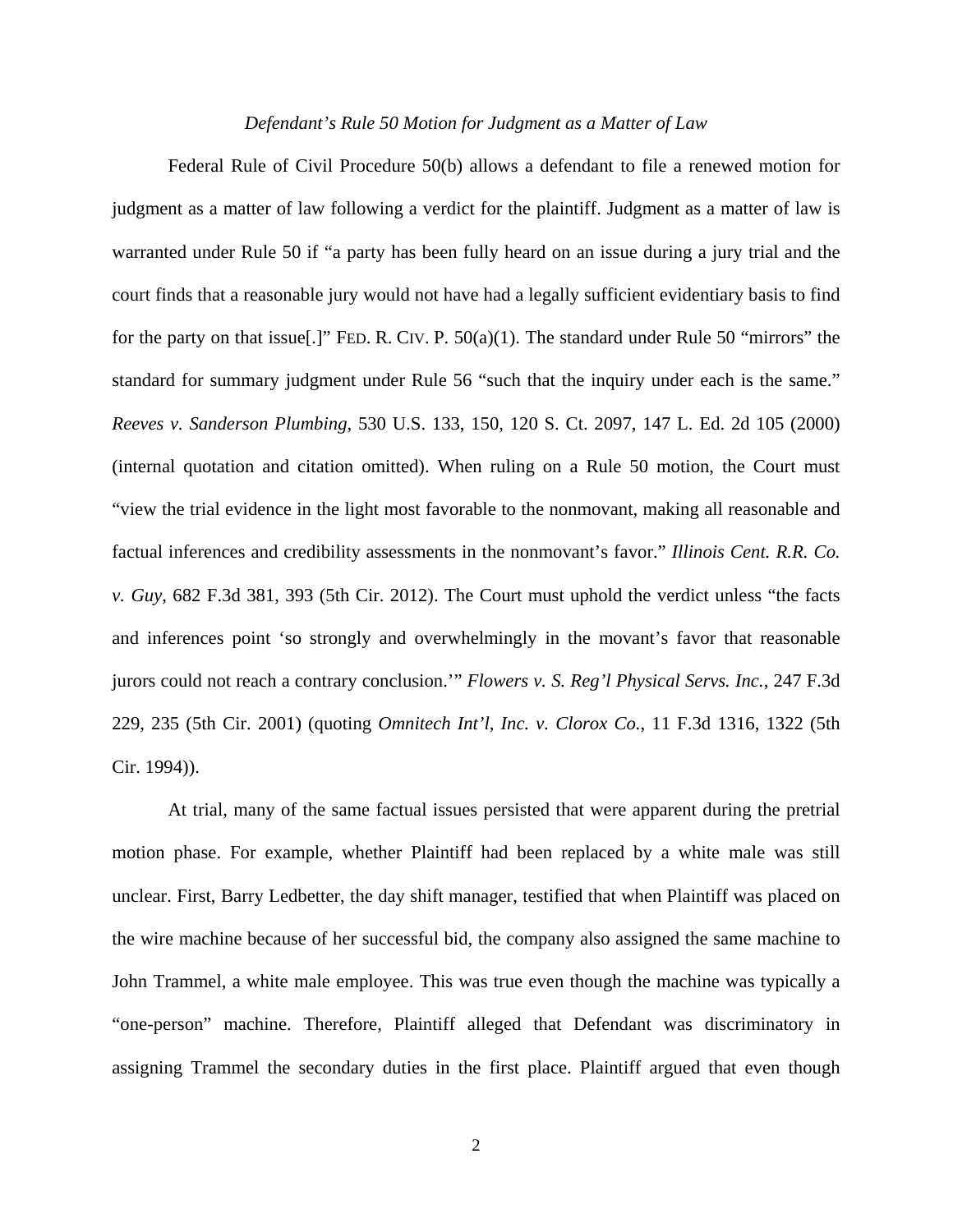#### *Defendant's Rule 50 Motion for Judgment as a Matter of Law*

 Federal Rule of Civil Procedure 50(b) allows a defendant to file a renewed motion for judgment as a matter of law following a verdict for the plaintiff. Judgment as a matter of law is warranted under Rule 50 if "a party has been fully heard on an issue during a jury trial and the court finds that a reasonable jury would not have had a legally sufficient evidentiary basis to find for the party on that issue[.]" FED. R. CIV. P.  $50(a)(1)$ . The standard under Rule 50 "mirrors" the standard for summary judgment under Rule 56 "such that the inquiry under each is the same." *Reeves v. Sanderson Plumbing*, 530 U.S. 133, 150, 120 S. Ct. 2097, 147 L. Ed. 2d 105 (2000) (internal quotation and citation omitted). When ruling on a Rule 50 motion, the Court must "view the trial evidence in the light most favorable to the nonmovant, making all reasonable and factual inferences and credibility assessments in the nonmovant's favor." *Illinois Cent. R.R. Co. v. Guy*, 682 F.3d 381, 393 (5th Cir. 2012). The Court must uphold the verdict unless "the facts and inferences point 'so strongly and overwhelmingly in the movant's favor that reasonable jurors could not reach a contrary conclusion.'" *Flowers v. S. Reg'l Physical Servs. Inc.*, 247 F.3d 229, 235 (5th Cir. 2001) (quoting *Omnitech Int'l, Inc. v. Clorox Co.*, 11 F.3d 1316, 1322 (5th Cir. 1994)).

 At trial, many of the same factual issues persisted that were apparent during the pretrial motion phase. For example, whether Plaintiff had been replaced by a white male was still unclear. First, Barry Ledbetter, the day shift manager, testified that when Plaintiff was placed on the wire machine because of her successful bid, the company also assigned the same machine to John Trammel, a white male employee. This was true even though the machine was typically a "one-person" machine. Therefore, Plaintiff alleged that Defendant was discriminatory in assigning Trammel the secondary duties in the first place. Plaintiff argued that even though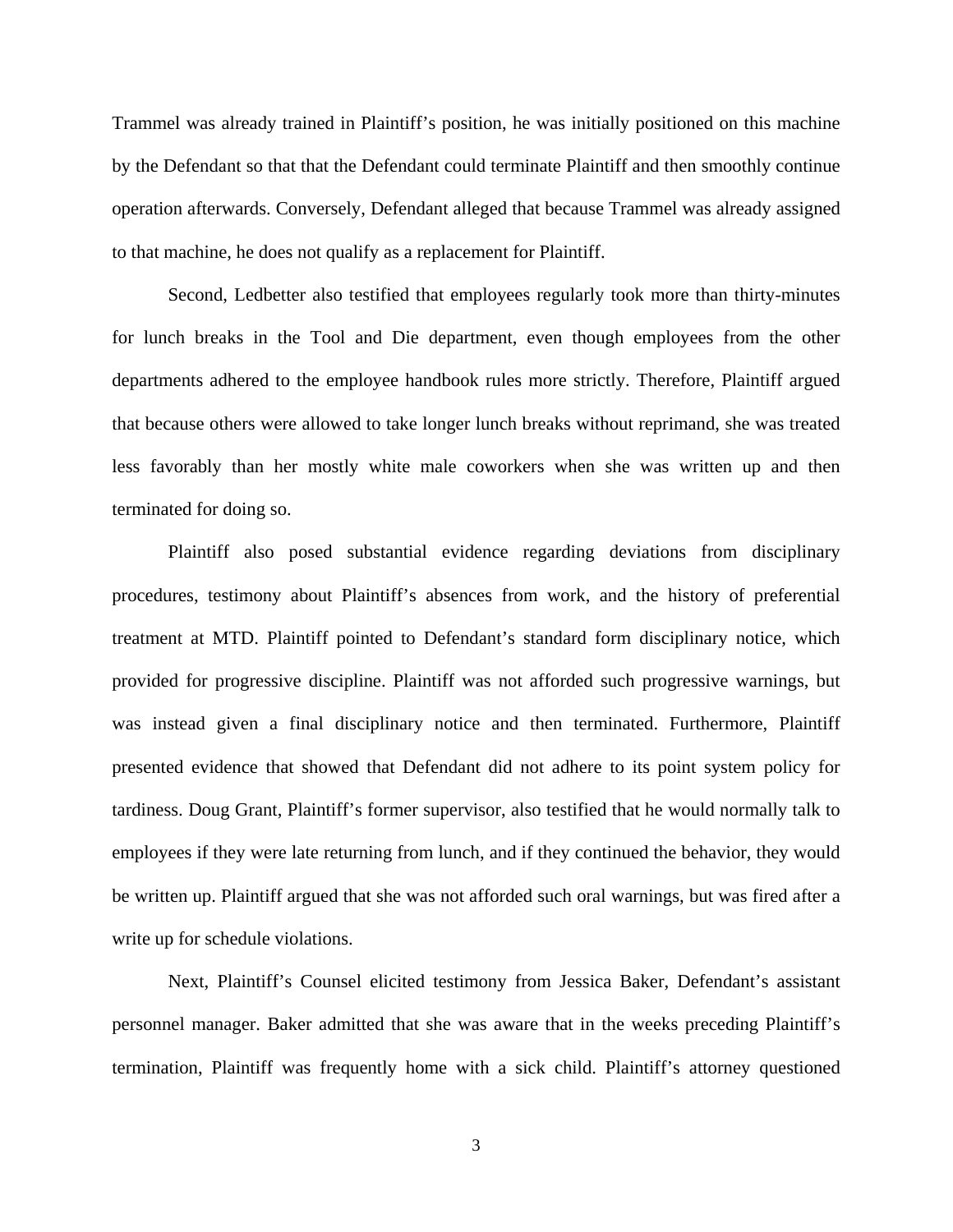Trammel was already trained in Plaintiff's position, he was initially positioned on this machine by the Defendant so that that the Defendant could terminate Plaintiff and then smoothly continue operation afterwards. Conversely, Defendant alleged that because Trammel was already assigned to that machine, he does not qualify as a replacement for Plaintiff.

Second, Ledbetter also testified that employees regularly took more than thirty-minutes for lunch breaks in the Tool and Die department, even though employees from the other departments adhered to the employee handbook rules more strictly. Therefore, Plaintiff argued that because others were allowed to take longer lunch breaks without reprimand, she was treated less favorably than her mostly white male coworkers when she was written up and then terminated for doing so.

Plaintiff also posed substantial evidence regarding deviations from disciplinary procedures, testimony about Plaintiff's absences from work, and the history of preferential treatment at MTD. Plaintiff pointed to Defendant's standard form disciplinary notice, which provided for progressive discipline. Plaintiff was not afforded such progressive warnings, but was instead given a final disciplinary notice and then terminated. Furthermore, Plaintiff presented evidence that showed that Defendant did not adhere to its point system policy for tardiness. Doug Grant, Plaintiff's former supervisor, also testified that he would normally talk to employees if they were late returning from lunch, and if they continued the behavior, they would be written up. Plaintiff argued that she was not afforded such oral warnings, but was fired after a write up for schedule violations.

 Next, Plaintiff's Counsel elicited testimony from Jessica Baker, Defendant's assistant personnel manager. Baker admitted that she was aware that in the weeks preceding Plaintiff's termination, Plaintiff was frequently home with a sick child. Plaintiff's attorney questioned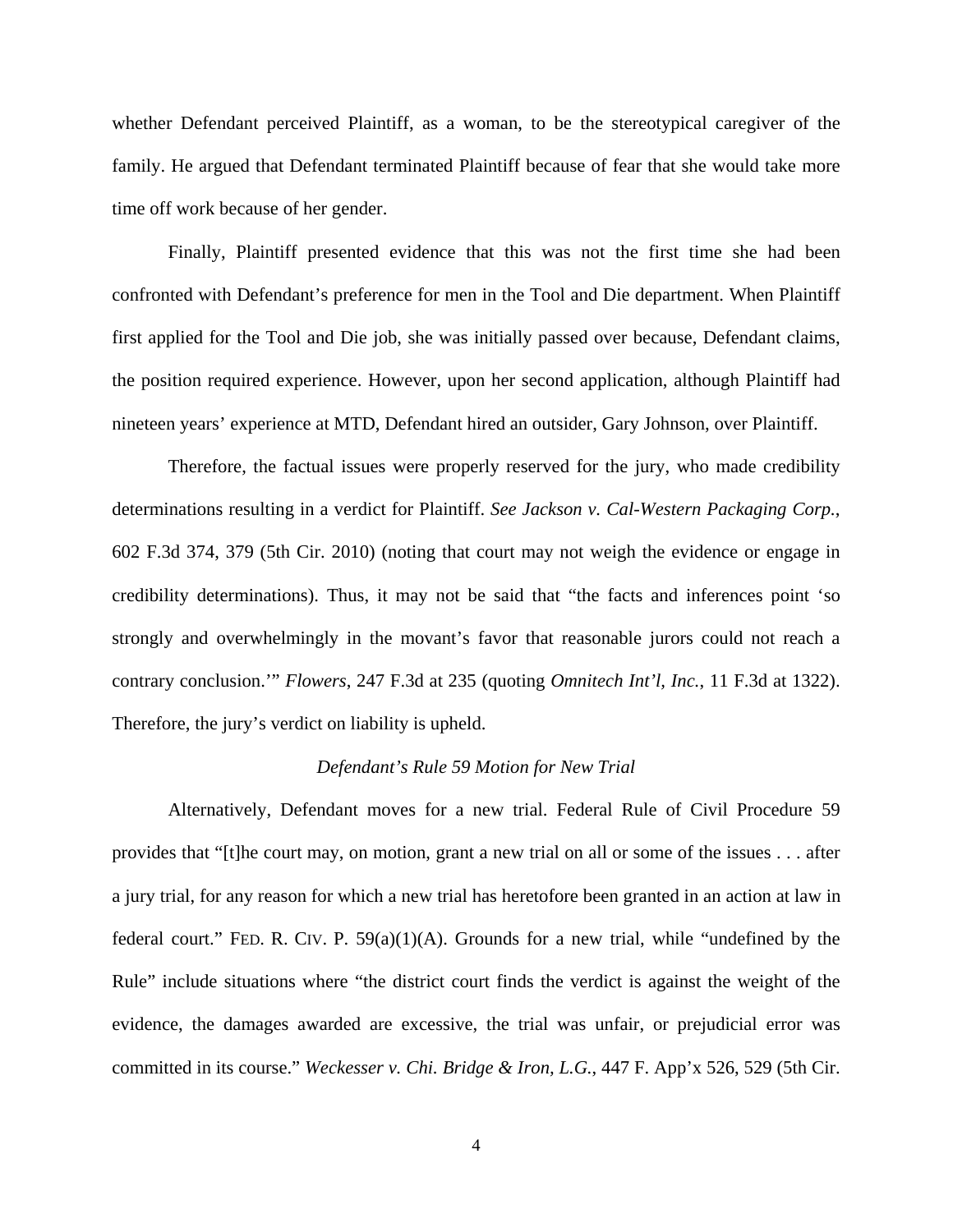whether Defendant perceived Plaintiff, as a woman, to be the stereotypical caregiver of the family. He argued that Defendant terminated Plaintiff because of fear that she would take more time off work because of her gender.

 Finally, Plaintiff presented evidence that this was not the first time she had been confronted with Defendant's preference for men in the Tool and Die department. When Plaintiff first applied for the Tool and Die job, she was initially passed over because, Defendant claims, the position required experience. However, upon her second application, although Plaintiff had nineteen years' experience at MTD, Defendant hired an outsider, Gary Johnson, over Plaintiff.

 Therefore, the factual issues were properly reserved for the jury, who made credibility determinations resulting in a verdict for Plaintiff. *See Jackson v. Cal-Western Packaging Corp.*, 602 F.3d 374, 379 (5th Cir. 2010) (noting that court may not weigh the evidence or engage in credibility determinations). Thus, it may not be said that "the facts and inferences point 'so strongly and overwhelmingly in the movant's favor that reasonable jurors could not reach a contrary conclusion.'" *Flowers*, 247 F.3d at 235 (quoting *Omnitech Int'l, Inc.*, 11 F.3d at 1322). Therefore, the jury's verdict on liability is upheld.

## *Defendant's Rule 59 Motion for New Trial*

 Alternatively, Defendant moves for a new trial. Federal Rule of Civil Procedure 59 provides that "[t]he court may, on motion, grant a new trial on all or some of the issues . . . after a jury trial, for any reason for which a new trial has heretofore been granted in an action at law in federal court." FED. R. CIV. P.  $59(a)(1)(A)$ . Grounds for a new trial, while "undefined by the Rule" include situations where "the district court finds the verdict is against the weight of the evidence, the damages awarded are excessive, the trial was unfair, or prejudicial error was committed in its course." *Weckesser v. Chi. Bridge & Iron, L.G.*, 447 F. App'x 526, 529 (5th Cir.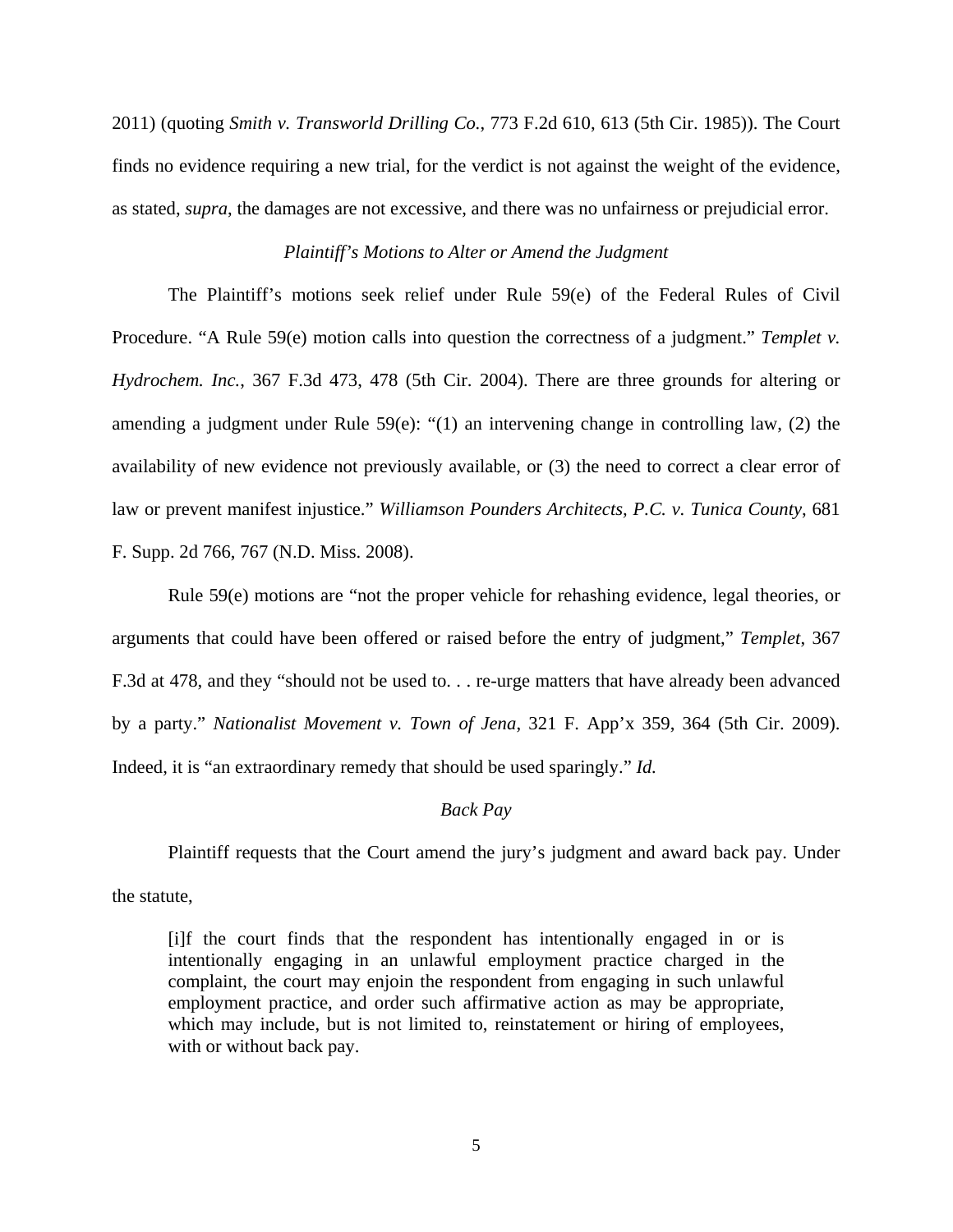2011) (quoting *Smith v. Transworld Drilling Co.*, 773 F.2d 610, 613 (5th Cir. 1985)). The Court finds no evidence requiring a new trial, for the verdict is not against the weight of the evidence, as stated, *supra*, the damages are not excessive, and there was no unfairness or prejudicial error.

# *Plaintiff's Motions to Alter or Amend the Judgment*

The Plaintiff's motions seek relief under Rule 59(e) of the Federal Rules of Civil Procedure. "A Rule 59(e) motion calls into question the correctness of a judgment." *Templet v. Hydrochem. Inc.*, 367 F.3d 473, 478 (5th Cir. 2004). There are three grounds for altering or amending a judgment under Rule 59(e): "(1) an intervening change in controlling law, (2) the availability of new evidence not previously available, or (3) the need to correct a clear error of law or prevent manifest injustice." *Williamson Pounders Architects, P.C. v. Tunica County*, 681 F. Supp. 2d 766, 767 (N.D. Miss. 2008).

Rule 59(e) motions are "not the proper vehicle for rehashing evidence, legal theories, or arguments that could have been offered or raised before the entry of judgment," *Templet*, 367 F.3d at 478, and they "should not be used to. . . re-urge matters that have already been advanced by a party." *Nationalist Movement v. Town of Jena*, 321 F. App'x 359, 364 (5th Cir. 2009). Indeed, it is "an extraordinary remedy that should be used sparingly." *Id.*

### *Back Pay*

Plaintiff requests that the Court amend the jury's judgment and award back pay. Under the statute,

[i]f the court finds that the respondent has intentionally engaged in or is intentionally engaging in an unlawful employment practice charged in the complaint, the court may enjoin the respondent from engaging in such unlawful employment practice, and order such affirmative action as may be appropriate, which may include, but is not limited to, reinstatement or hiring of employees, with or without back pay.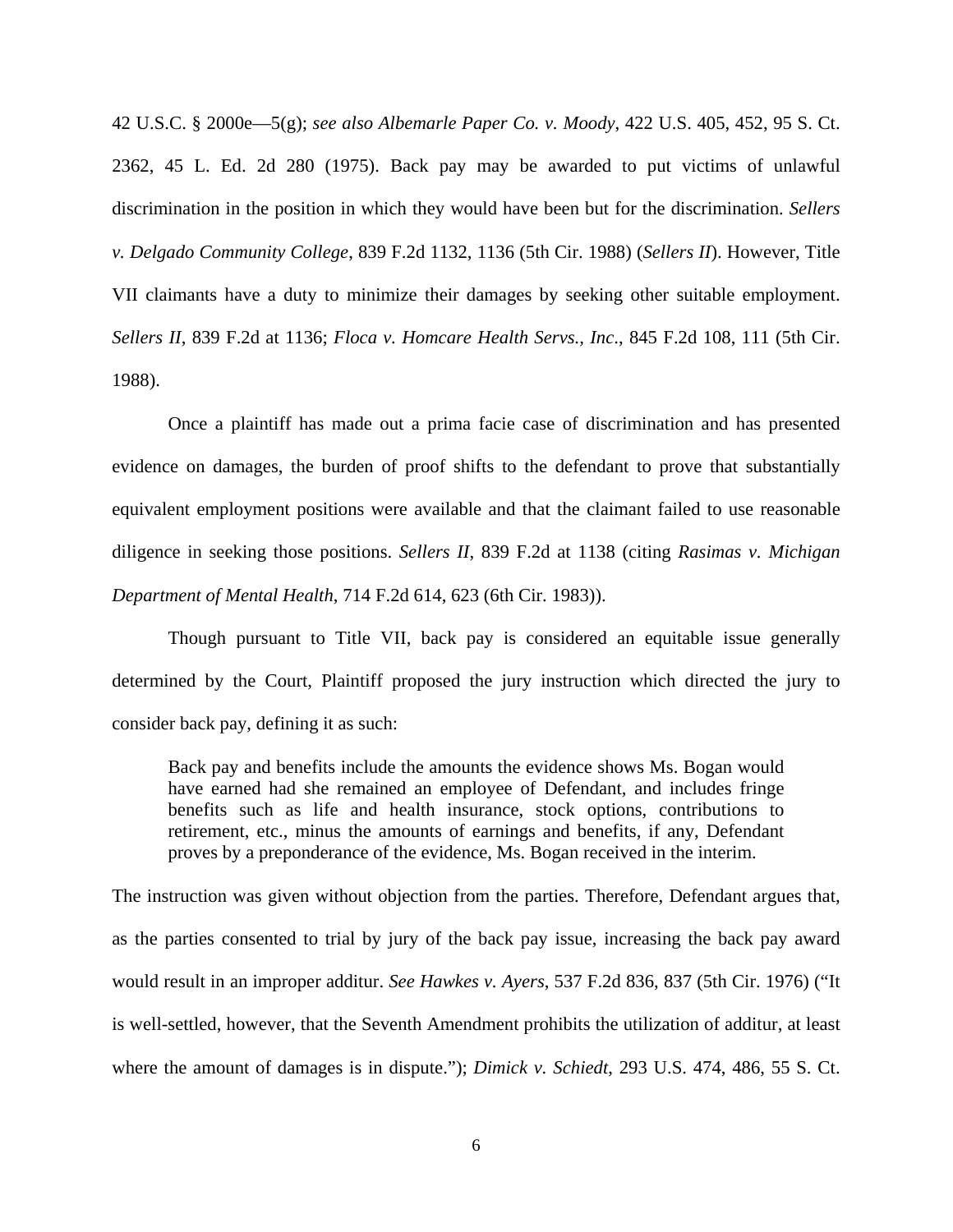42 U.S.C. § 2000e—5(g); *see also Albemarle Paper Co. v. Moody*, 422 U.S. 405, 452, 95 S. Ct. 2362, 45 L. Ed. 2d 280 (1975). Back pay may be awarded to put victims of unlawful discrimination in the position in which they would have been but for the discrimination. *Sellers v. Delgado Community College*, 839 F.2d 1132, 1136 (5th Cir. 1988) (*Sellers II*). However, Title VII claimants have a duty to minimize their damages by seeking other suitable employment. *Sellers II*, 839 F.2d at 1136; *Floca v. Homcare Health Servs., Inc*., 845 F.2d 108, 111 (5th Cir. 1988).

Once a plaintiff has made out a prima facie case of discrimination and has presented evidence on damages, the burden of proof shifts to the defendant to prove that substantially equivalent employment positions were available and that the claimant failed to use reasonable diligence in seeking those positions. *Sellers II*, 839 F.2d at 1138 (citing *Rasimas v. Michigan Department of Mental Health*, 714 F.2d 614, 623 (6th Cir. 1983)).

Though pursuant to Title VII, back pay is considered an equitable issue generally determined by the Court, Plaintiff proposed the jury instruction which directed the jury to consider back pay, defining it as such:

Back pay and benefits include the amounts the evidence shows Ms. Bogan would have earned had she remained an employee of Defendant, and includes fringe benefits such as life and health insurance, stock options, contributions to retirement, etc., minus the amounts of earnings and benefits, if any, Defendant proves by a preponderance of the evidence, Ms. Bogan received in the interim.

The instruction was given without objection from the parties. Therefore, Defendant argues that, as the parties consented to trial by jury of the back pay issue, increasing the back pay award would result in an improper additur. *See Hawkes v. Ayers*, 537 F.2d 836, 837 (5th Cir. 1976) ("It is well-settled, however, that the Seventh Amendment prohibits the utilization of additur, at least where the amount of damages is in dispute."); *Dimick v. Schiedt*, 293 U.S. 474, 486, 55 S. Ct.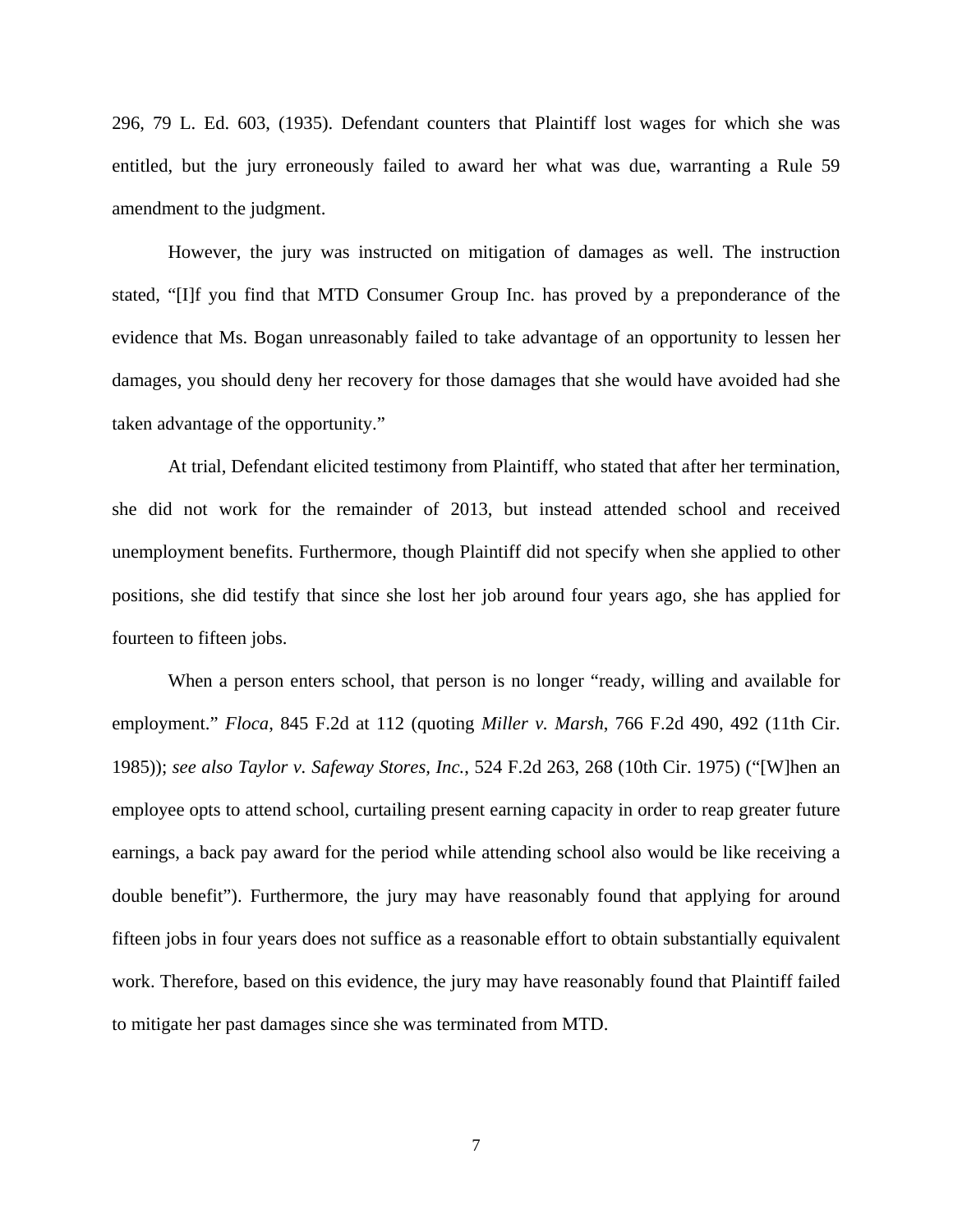296, 79 L. Ed. 603, (1935). Defendant counters that Plaintiff lost wages for which she was entitled, but the jury erroneously failed to award her what was due, warranting a Rule 59 amendment to the judgment.

However, the jury was instructed on mitigation of damages as well. The instruction stated, "[I]f you find that MTD Consumer Group Inc. has proved by a preponderance of the evidence that Ms. Bogan unreasonably failed to take advantage of an opportunity to lessen her damages, you should deny her recovery for those damages that she would have avoided had she taken advantage of the opportunity."

 At trial, Defendant elicited testimony from Plaintiff, who stated that after her termination, she did not work for the remainder of 2013, but instead attended school and received unemployment benefits. Furthermore, though Plaintiff did not specify when she applied to other positions, she did testify that since she lost her job around four years ago, she has applied for fourteen to fifteen jobs.

When a person enters school, that person is no longer "ready, willing and available for employment." *Floca*, 845 F.2d at 112 (quoting *Miller v. Marsh*, 766 F.2d 490, 492 (11th Cir. 1985)); *see also Taylor v. Safeway Stores, Inc.*, 524 F.2d 263, 268 (10th Cir. 1975) ("[W]hen an employee opts to attend school, curtailing present earning capacity in order to reap greater future earnings, a back pay award for the period while attending school also would be like receiving a double benefit"). Furthermore, the jury may have reasonably found that applying for around fifteen jobs in four years does not suffice as a reasonable effort to obtain substantially equivalent work. Therefore, based on this evidence, the jury may have reasonably found that Plaintiff failed to mitigate her past damages since she was terminated from MTD.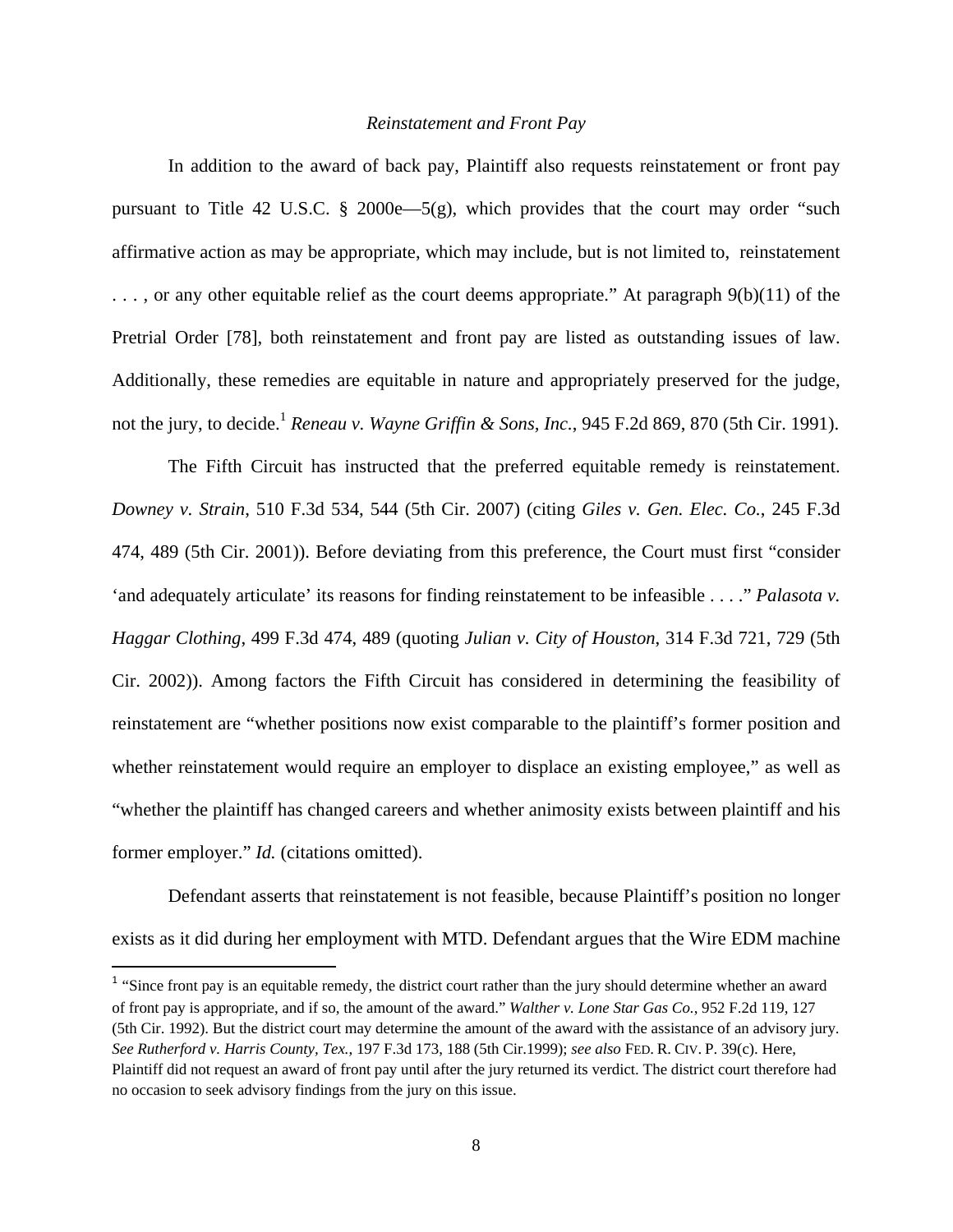## *Reinstatement and Front Pay*

In addition to the award of back pay, Plaintiff also requests reinstatement or front pay pursuant to Title 42 U.S.C.  $\S$  2000e—5(g), which provides that the court may order "such affirmative action as may be appropriate, which may include, but is not limited to, reinstatement . . . , or any other equitable relief as the court deems appropriate." At paragraph 9(b)(11) of the Pretrial Order [78], both reinstatement and front pay are listed as outstanding issues of law. Additionally, these remedies are equitable in nature and appropriately preserved for the judge, not the jury, to decide.<sup>1</sup> *Reneau v. Wayne Griffin & Sons, Inc.*, 945 F.2d 869, 870 (5th Cir. 1991).

 The Fifth Circuit has instructed that the preferred equitable remedy is reinstatement. *Downey v. Strain*, 510 F.3d 534, 544 (5th Cir. 2007) (citing *Giles v. Gen. Elec. Co.*, 245 F.3d 474, 489 (5th Cir. 2001)). Before deviating from this preference, the Court must first "consider 'and adequately articulate' its reasons for finding reinstatement to be infeasible . . . ." *Palasota v. Haggar Clothing*, 499 F.3d 474, 489 (quoting *Julian v. City of Houston*, 314 F.3d 721, 729 (5th Cir. 2002)). Among factors the Fifth Circuit has considered in determining the feasibility of reinstatement are "whether positions now exist comparable to the plaintiff's former position and whether reinstatement would require an employer to displace an existing employee," as well as "whether the plaintiff has changed careers and whether animosity exists between plaintiff and his former employer." *Id.* (citations omitted).

 Defendant asserts that reinstatement is not feasible, because Plaintiff's position no longer exists as it did during her employment with MTD. Defendant argues that the Wire EDM machine

<sup>&</sup>lt;sup>1</sup> "Since front pay is an equitable remedy, the district court rather than the jury should determine whether an award of front pay is appropriate, and if so, the amount of the award." *Walther v. Lone Star Gas Co.*, 952 F.2d 119, 127 (5th Cir. 1992). But the district court may determine the amount of the award with the assistance of an advisory jury. *See Rutherford v. Harris County, Tex.*, 197 F.3d 173, 188 (5th Cir.1999); *see also* FED. R. CIV. P. 39(c). Here, Plaintiff did not request an award of front pay until after the jury returned its verdict. The district court therefore had no occasion to seek advisory findings from the jury on this issue.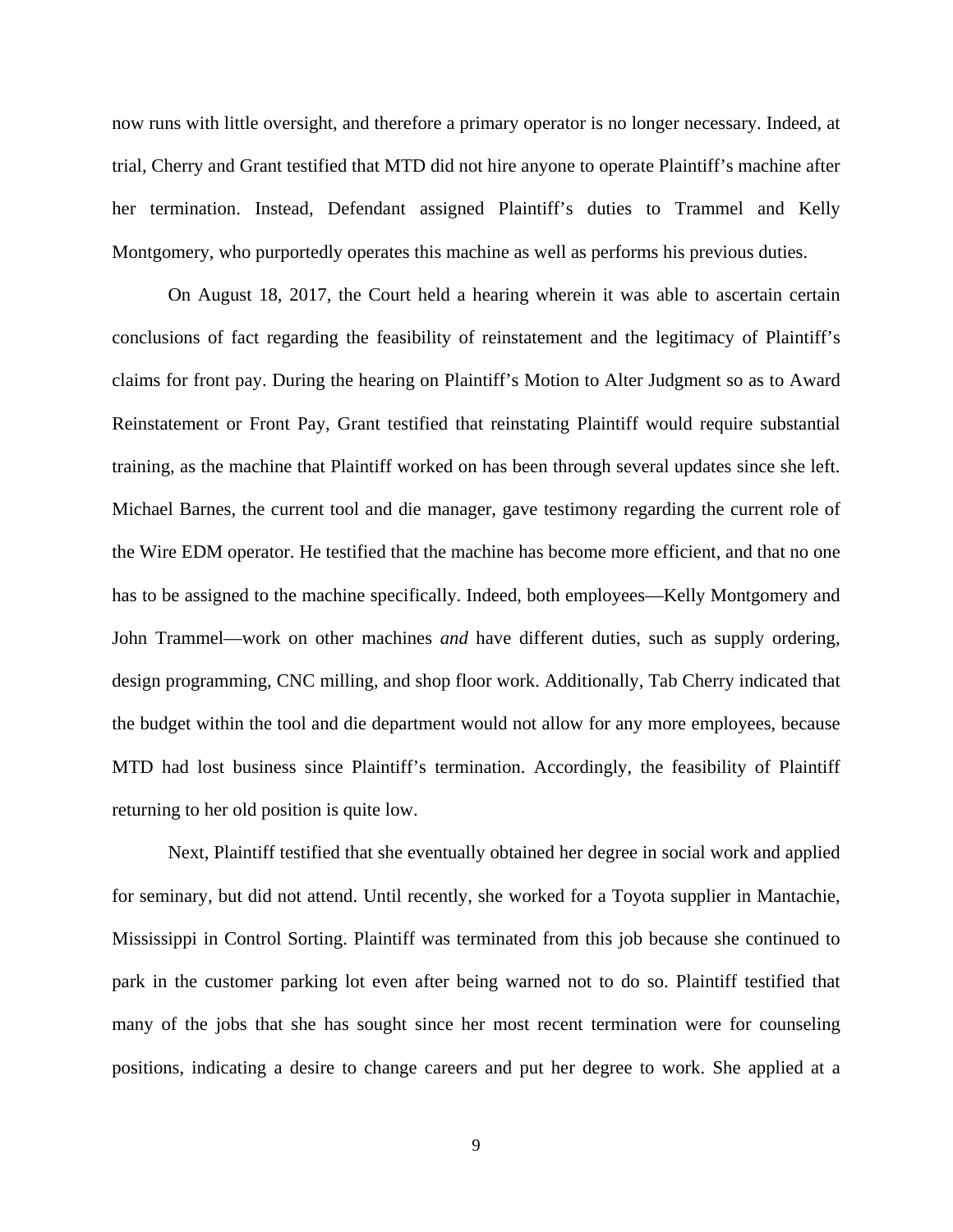now runs with little oversight, and therefore a primary operator is no longer necessary. Indeed, at trial, Cherry and Grant testified that MTD did not hire anyone to operate Plaintiff's machine after her termination. Instead, Defendant assigned Plaintiff's duties to Trammel and Kelly Montgomery, who purportedly operates this machine as well as performs his previous duties.

 On August 18, 2017, the Court held a hearing wherein it was able to ascertain certain conclusions of fact regarding the feasibility of reinstatement and the legitimacy of Plaintiff's claims for front pay. During the hearing on Plaintiff's Motion to Alter Judgment so as to Award Reinstatement or Front Pay, Grant testified that reinstating Plaintiff would require substantial training, as the machine that Plaintiff worked on has been through several updates since she left. Michael Barnes, the current tool and die manager, gave testimony regarding the current role of the Wire EDM operator. He testified that the machine has become more efficient, and that no one has to be assigned to the machine specifically. Indeed, both employees—Kelly Montgomery and John Trammel—work on other machines *and* have different duties, such as supply ordering, design programming, CNC milling, and shop floor work. Additionally, Tab Cherry indicated that the budget within the tool and die department would not allow for any more employees, because MTD had lost business since Plaintiff's termination. Accordingly, the feasibility of Plaintiff returning to her old position is quite low.

Next, Plaintiff testified that she eventually obtained her degree in social work and applied for seminary, but did not attend. Until recently, she worked for a Toyota supplier in Mantachie, Mississippi in Control Sorting. Plaintiff was terminated from this job because she continued to park in the customer parking lot even after being warned not to do so. Plaintiff testified that many of the jobs that she has sought since her most recent termination were for counseling positions, indicating a desire to change careers and put her degree to work. She applied at a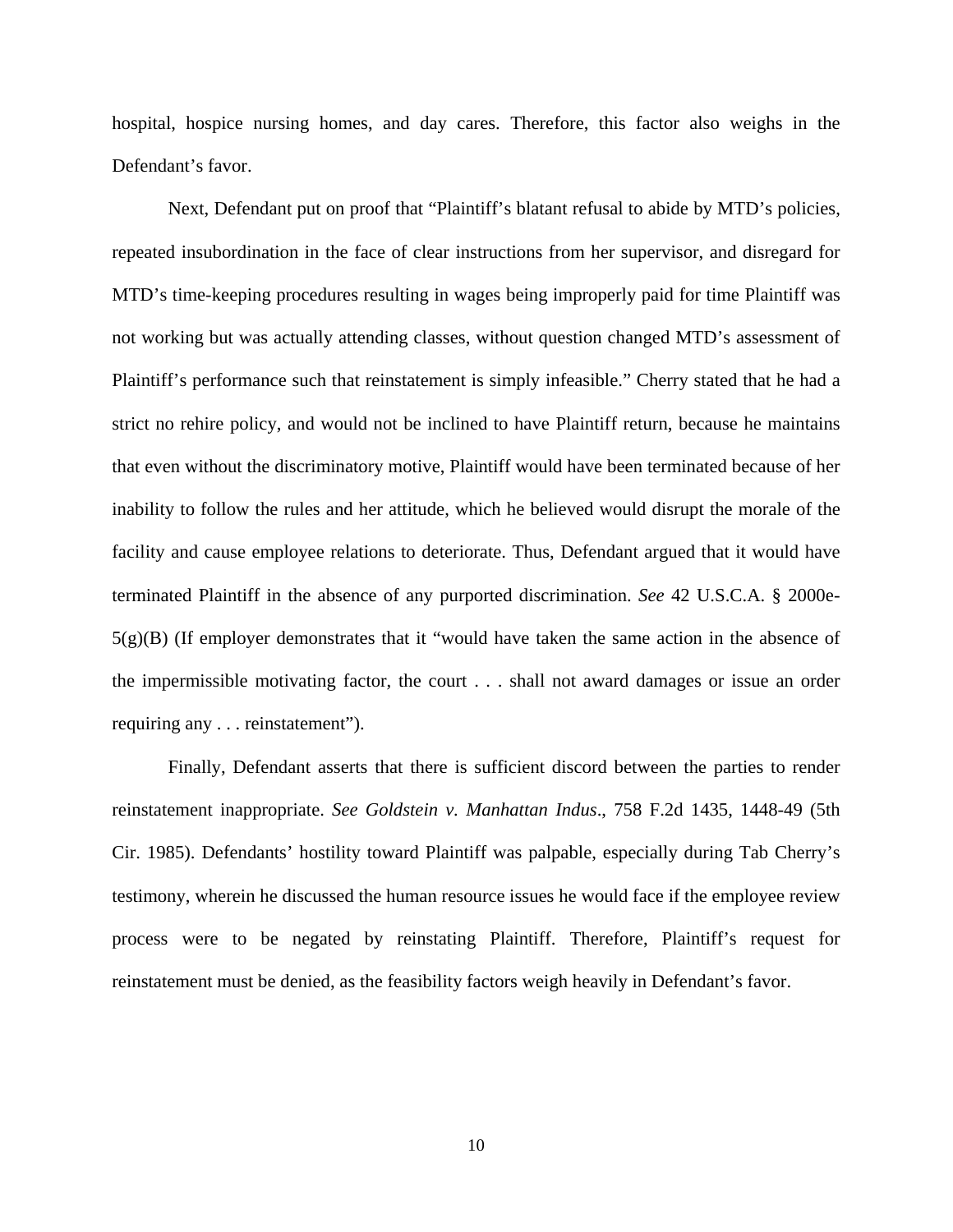hospital, hospice nursing homes, and day cares. Therefore, this factor also weighs in the Defendant's favor.

Next, Defendant put on proof that "Plaintiff's blatant refusal to abide by MTD's policies, repeated insubordination in the face of clear instructions from her supervisor, and disregard for MTD's time-keeping procedures resulting in wages being improperly paid for time Plaintiff was not working but was actually attending classes, without question changed MTD's assessment of Plaintiff's performance such that reinstatement is simply infeasible." Cherry stated that he had a strict no rehire policy, and would not be inclined to have Plaintiff return, because he maintains that even without the discriminatory motive, Plaintiff would have been terminated because of her inability to follow the rules and her attitude, which he believed would disrupt the morale of the facility and cause employee relations to deteriorate. Thus, Defendant argued that it would have terminated Plaintiff in the absence of any purported discrimination. *See* 42 U.S.C.A. § 2000e- $5(g)(B)$  (If employer demonstrates that it "would have taken the same action in the absence of the impermissible motivating factor, the court . . . shall not award damages or issue an order requiring any . . . reinstatement").

Finally, Defendant asserts that there is sufficient discord between the parties to render reinstatement inappropriate. *See Goldstein v. Manhattan Indus*., 758 F.2d 1435, 1448-49 (5th Cir. 1985). Defendants' hostility toward Plaintiff was palpable, especially during Tab Cherry's testimony, wherein he discussed the human resource issues he would face if the employee review process were to be negated by reinstating Plaintiff. Therefore, Plaintiff's request for reinstatement must be denied, as the feasibility factors weigh heavily in Defendant's favor.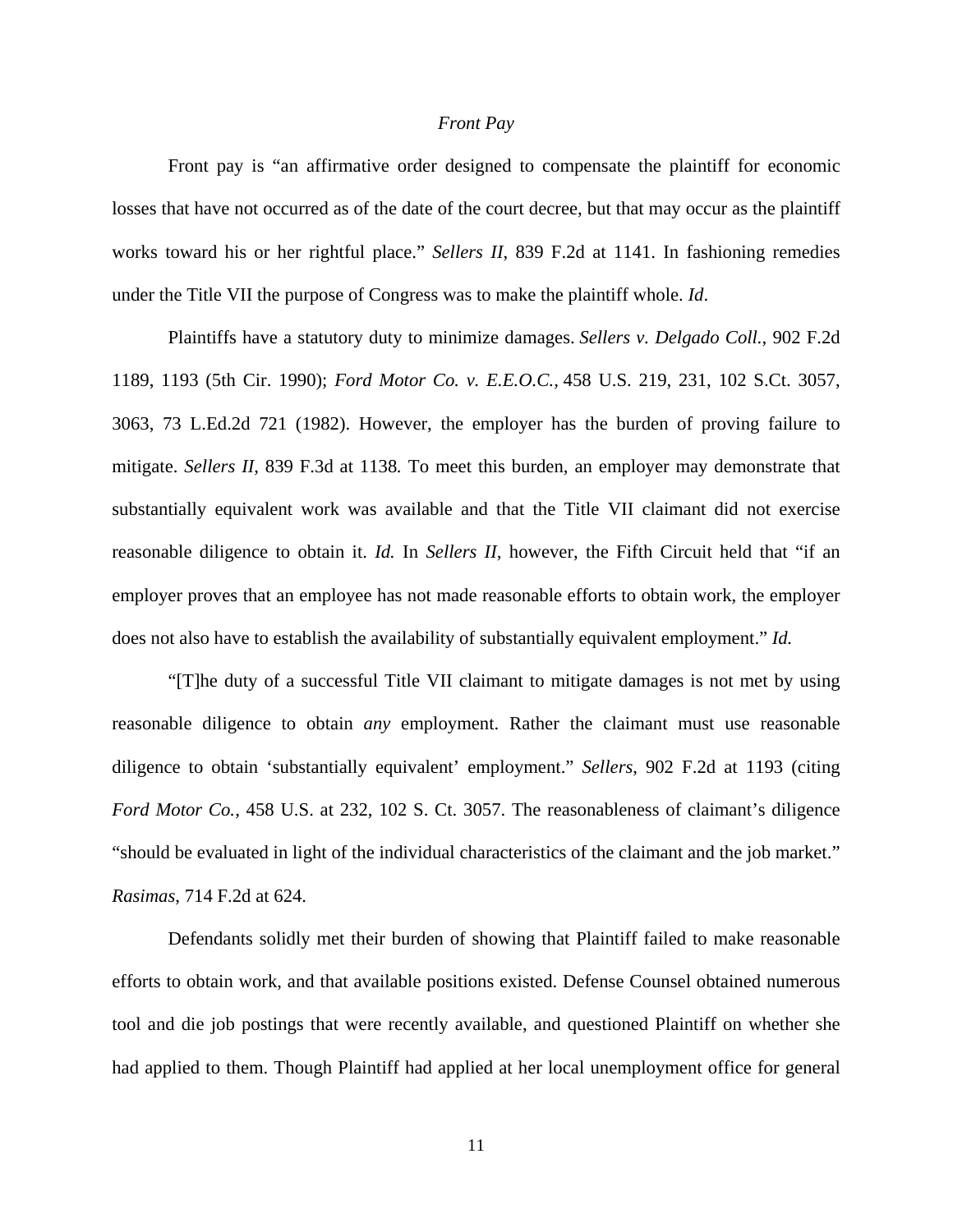## *Front Pay*

Front pay is "an affirmative order designed to compensate the plaintiff for economic losses that have not occurred as of the date of the court decree, but that may occur as the plaintiff works toward his or her rightful place." *Sellers II*, 839 F.2d at 1141. In fashioning remedies under the Title VII the purpose of Congress was to make the plaintiff whole. *Id*.

Plaintiffs have a statutory duty to minimize damages. *Sellers v. Delgado Coll.*, 902 F.2d 1189, 1193 (5th Cir. 1990); *Ford Motor Co. v. E.E.O.C.,* 458 U.S. 219, 231, 102 S.Ct. 3057, 3063, 73 L.Ed.2d 721 (1982). However, the employer has the burden of proving failure to mitigate. *Sellers II*, 839 F.3d at 1138*.* To meet this burden, an employer may demonstrate that substantially equivalent work was available and that the Title VII claimant did not exercise reasonable diligence to obtain it. *Id.* In *Sellers II,* however, the Fifth Circuit held that "if an employer proves that an employee has not made reasonable efforts to obtain work, the employer does not also have to establish the availability of substantially equivalent employment." *Id.*

"[T]he duty of a successful Title VII claimant to mitigate damages is not met by using reasonable diligence to obtain *any* employment. Rather the claimant must use reasonable diligence to obtain 'substantially equivalent' employment." *Sellers*, 902 F.2d at 1193 (citing *Ford Motor Co.*, 458 U.S. at 232, 102 S. Ct. 3057. The reasonableness of claimant's diligence "should be evaluated in light of the individual characteristics of the claimant and the job market." *Rasimas*, 714 F.2d at 624.

Defendants solidly met their burden of showing that Plaintiff failed to make reasonable efforts to obtain work, and that available positions existed. Defense Counsel obtained numerous tool and die job postings that were recently available, and questioned Plaintiff on whether she had applied to them. Though Plaintiff had applied at her local unemployment office for general